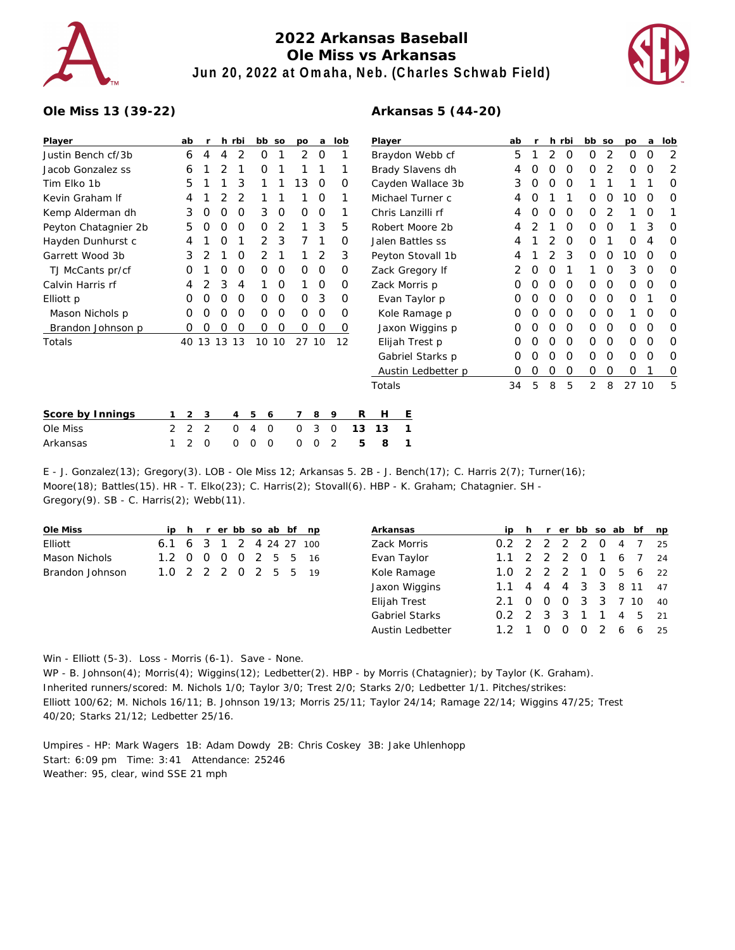

## **2022 Arkansas Baseball Ole Miss vs Arkansas Jun 20, 2022 at Omaha, Neb. (Charles Schwab Field)**



## **Ole Miss 13 (39-22)**

## **Arkansas 5 (44-20)**

| Player               |                | ab       |   |   | h rbi | bb so  |   | po       | a             | lob      | Player             | ab |   |   | h rbi | bb so    |          | po    | a | lob            |
|----------------------|----------------|----------|---|---|-------|--------|---|----------|---------------|----------|--------------------|----|---|---|-------|----------|----------|-------|---|----------------|
| Justin Bench cf/3b   |                | 6        | 4 | 4 | 2     | Ο      |   | 2        | $\Omega$      |          | Braydon Webb cf    | 5  |   | 2 | O     | $\Omega$ | 2        | O     | O | $\overline{2}$ |
| Jacob Gonzalez ss    |                | 6        |   |   |       | Ο      |   |          |               |          | Brady Slavens dh   |    |   | Ο | Ο     | O        |          | O     | O | 2              |
| Tim Elko 1b          |                | 5        |   |   | 3     |        |   | 13       | 0             | 0        | Cayden Wallace 3b  | 3  | 0 | 0 | 0     |          |          |       |   | 0              |
| Kevin Graham If      |                |          |   |   |       |        |   |          | $\Omega$      |          | Michael Turner c   | 4  |   |   |       | 0        | O        | 10    | O | O              |
| Kemp Alderman dh     |                | 3        | O | O | O     | 3      | O | $\Omega$ | $\Omega$      |          | Chris Lanzilli rf  |    | Ο | Ο | O     | $\Omega$ |          |       | O |                |
| Peyton Chatagnier 2b |                | 5        | O |   | O     | Ο      | 2 |          | 3             | 5        | Robert Moore 2b    | 4  |   |   | O     | 0        | $\Omega$ |       | 3 | 0              |
| Hayden Dunhurst c    |                |          |   |   |       |        | 3 |          |               | 0        | Jalen Battles ss   |    |   |   | O     | 0        |          | O     | 4 | O              |
| Garrett Wood 3b      |                | 3        | 2 |   | O     |        |   |          | 2             | 3        | Peyton Stovall 1b  | 4  |   |   | 3     | 0        | 0        | 10    | O | 0              |
| TJ McCants pr/cf     |                | Ο        |   | 0 | O     | 0      | 0 | $\Omega$ | 0             | 0        | Zack Gregory If    |    | O | Ο |       |          | O        | 3     | 0 | 0              |
| Calvin Harris rf     |                | 4        |   | 3 | 4     |        | O |          | 0             | 0        | Zack Morris p      | Ο  |   | Ο | O     | 0        | O        | 0     | O | O              |
| Elliott p            |                | Ο        | O | O | O     | Ο      | 0 | $\Omega$ | 3             | $\Omega$ | Evan Taylor p      | Ο  | Ο | Ο | O     | $\Omega$ | $\Omega$ | 0     |   | $\Omega$       |
| Mason Nichols p      |                | Ο        |   |   |       | O      | O | 0        | $\Omega$      | O        | Kole Ramage p      |    |   | Ο | O     | 0        | O        |       | O | $\Omega$       |
| Brandon Johnson p    |                | 0        | Ο | O | O     | 0      | 0 | 0        | $\mathcal{O}$ | 0        | Jaxon Wiggins p    |    | Ο | 0 | 0     | $\Omega$ | 0        | 0     | O | $\Omega$       |
| Totals               |                | 40 13 13 |   |   | 13    | 10 10  |   | 27 10    |               | 12       | Elijah Trest p     | Ο  | Ο | Ο | 0     | $\Omega$ | $\Omega$ | 0     | O | O              |
|                      |                |          |   |   |       |        |   |          |               |          | Gabriel Starks p   | 0  |   | Ο | O     | 0        | O        | 0     | O | O              |
|                      |                |          |   |   |       |        |   |          |               |          | Austin Ledbetter p | 0  | Ο | 0 | 0     | 0        | 0        | 0     |   | 0              |
|                      |                |          |   |   |       |        |   |          |               |          | Totals             | 34 | 5 | 8 | 5     | 2        | 8        | 27 10 |   | 5              |
| Score by Innings     |                | 2        | 3 |   | 4     | 5<br>6 |   |          | 8             | 9        | R<br>H<br>Ε        |    |   |   |       |          |          |       |   |                |
| Ole Miss             | $\overline{2}$ | 2        | 2 |   | 0     | 0<br>4 |   | 0        | 3             | 0        | 13<br>13           |    |   |   |       |          |          |       |   |                |

E - J. Gonzalez(13); Gregory(3). LOB - Ole Miss 12; Arkansas 5. 2B - J. Bench(17); C. Harris 2(7); Turner(16); Moore(18); Battles(15). HR - T. Elko(23); C. Harris(2); Stovall(6). HBP - K. Graham; Chatagnier. SH - Gregory(9). SB - C. Harris(2); Webb(11).

| Ole Miss        |                         |  |  |  | ip h r er bb so ab bf np |
|-----------------|-------------------------|--|--|--|--------------------------|
| Elliott         | 6.1 6 3 1 2 4 24 27 100 |  |  |  |                          |
| Mason Nichols   | 1.2 0 0 0 0 2 5 5 16    |  |  |  |                          |
| Brandon Johnson | 1.0 2 2 2 0 2 5 5 19    |  |  |  |                          |

Arkansas 1 2 0 0 0 0 0 0 2 **5 8 1**

|                  |   |          |   |                       |                                                           |                             | np                                                                                          |
|------------------|---|----------|---|-----------------------|-----------------------------------------------------------|-----------------------------|---------------------------------------------------------------------------------------------|
|                  |   |          |   | O                     | 4                                                         |                             | 25                                                                                          |
|                  |   |          |   |                       |                                                           |                             | 24                                                                                          |
|                  |   |          |   | $\Omega$              |                                                           |                             | 22                                                                                          |
| 1.1              |   |          |   |                       |                                                           |                             | 47                                                                                          |
| 2.1              | O | $\Omega$ |   |                       |                                                           |                             | 40                                                                                          |
|                  |   |          |   |                       |                                                           |                             | 21                                                                                          |
| 1.2 <sub>1</sub> |   | O        | O |                       |                                                           |                             | 25                                                                                          |
|                  |   |          |   | $1.1 \t2 \t2 \t2 \t0$ | $0.2$ 2 2 2 2<br>1.0 2 2 2 1<br>$0.2$ 2 3 3 1<br>$\Omega$ | $1\quad6$<br>$\overline{1}$ | ip h r er bb so ab bf<br>$\overline{7}$<br>56<br>4 4 4 3 3 8 11<br>0 3 3 7 10<br>4 5<br>266 |

Win - Elliott (5-3). Loss - Morris (6-1). Save - None.

WP - B. Johnson(4); Morris(4); Wiggins(12); Ledbetter(2). HBP - by Morris (Chatagnier); by Taylor (K. Graham). Inherited runners/scored: M. Nichols 1/0; Taylor 3/0; Trest 2/0; Starks 2/0; Ledbetter 1/1. Pitches/strikes: Elliott 100/62; M. Nichols 16/11; B. Johnson 19/13; Morris 25/11; Taylor 24/14; Ramage 22/14; Wiggins 47/25; Trest 40/20; Starks 21/12; Ledbetter 25/16.

Umpires - HP: Mark Wagers 1B: Adam Dowdy 2B: Chris Coskey 3B: Jake Uhlenhopp Start: 6:09 pm Time: 3:41 Attendance: 25246 Weather: 95, clear, wind SSE 21 mph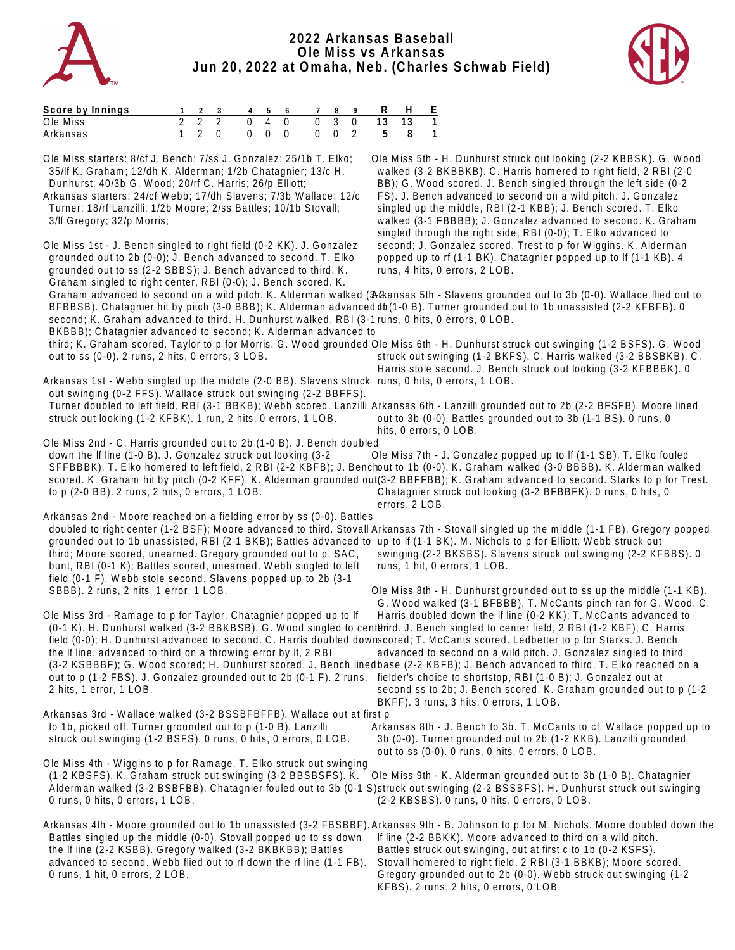

## **2022 Arkansas Baseball Ole Miss vs Arkansas Jun 20, 2022 at Omaha, Neb. (Charles Schwab Field)**



| Score by Innings |  |  |  |  | 1 2 3 4 5 6 7 8 9 R H E   |  |
|------------------|--|--|--|--|---------------------------|--|
| Ole Miss         |  |  |  |  | 2 2 2 0 4 0 0 3 0 13 13 1 |  |
| Arkansas         |  |  |  |  | 1 2 0 0 0 0 0 0 2 5 8 1   |  |

Ole Miss starters: 8/cf J. Bench; 7/ss J. Gonzalez; 25/1b T. Elko; 35/lf K. Graham; 12/dh K. Alderman; 1/2b Chatagnier; 13/c H. Dunhurst; 40/3b G. Wood; 20/rf C. Harris; 26/p Elliott; Arkansas starters: 24/cf Webb; 17/dh Slavens; 7/3b Wallace; 12/c Turner; 18/rf Lanzilli; 1/2b Moore; 2/ss Battles; 10/1b Stovall; 3/lf Gregory; 32/p Morris; Ole Miss 1st - J. Bench singled to right field (0-2 KK). J. Gonzalez grounded out to 2b (0-0); J. Bench advanced to second. T. Elko grounded out to ss (2-2 SBBS); J. Bench advanced to third. K. Graham singled to right center, RBI (0-0); J. Bench scored. K. Graham advanced to second on a wild pitch. K. Alderman walked (34 kansas 5th - Slavens grounded out to 3b (0-0). Wallace flied out to BFBBSB). Chatagnier hit by pitch (3-0 BBB); K. Alderman advanced ob (1-0 B). Turner grounded out to 1b unassisted (2-2 KFBFB). 0 second; K. Graham advanced to third. H. Dunhurst walked, RBI (3-1 runs, 0 hits, 0 errors, 0 LOB. BKBBB); Chatagnier advanced to second; K. Alderman advanced to third; K. Graham scored. Taylor to p for Morris. G. Wood grounded Ole Miss 6th - H. Dunhurst struck out swinging (1-2 BSFS). G. Wood out to ss (0-0). 2 runs, 2 hits, 0 errors, 3 LOB. Arkansas 1st - Webb singled up the middle (2-0 BB). Slavens struck runs, 0 hits, 0 errors, 1 LOB. out swinging (0-2 FFS). Wallace struck out swinging (2-2 BBFFS). Turner doubled to left field, RBI (3-1 BBKB); Webb scored. Lanzilli Arkansas 6th - Lanzilli grounded out to 2b (2-2 BFSFB). Moore lined struck out looking (1-2 KFBK). 1 run, 2 hits, 0 errors, 1 LOB. Ole Miss 2nd - C. Harris grounded out to 2b (1-0 B). J. Bench doubled down the lf line (1-0 B). J. Gonzalez struck out looking (3-2 SFFBBBK). T. Elko homered to left field, 2 RBI (2-2 KBFB); J. Benchout to 1b (0-0). K. Graham walked (3-0 BBBB). K. Alderman walked scored. K. Graham hit by pitch (0-2 KFF). K. Alderman grounded out (3-2 BBFFBB); K. Graham advanced to second. Starks to p for Trest. to p (2-0 BB). 2 runs, 2 hits, 0 errors, 1 LOB. Arkansas 2nd - Moore reached on a fielding error by ss (0-0). Battles doubled to right center (1-2 BSF); Moore advanced to third. Stovall Arkansas 7th - Stovall singled up the middle (1-1 FB). Gregory popped grounded out to 1b unassisted, RBI (2-1 BKB); Battles advanced to up to lf (1-1 BK). M. Nichols to p for Elliott. Webb struck out third; Moore scored, unearned. Gregory grounded out to p, SAC, bunt, RBI (0-1 K); Battles scored, unearned. Webb singled to left field (0-1 F). Webb stole second. Slavens popped up to 2b (3-1 SBBB). 2 runs, 2 hits, 1 error, 1 LOB. Ole Miss 3rd - Ramage to p for Taylor. Chatagnier popped up to lf (0-1 K). H. Dunhurst walked (3-2 BBKBSB). G. Wood singled to centthird. J. Bench singled to center field, 2 RBI (1-2 KBF); C. Harris field (0-0); H. Dunhurst advanced to second. C. Harris doubled downscored; T. McCants scored. Ledbetter to p for Starks. J. Bench the lf line, advanced to third on a throwing error by lf, 2 RBI (3-2 KSBBBF); G. Wood scored; H. Dunhurst scored. J. Bench linedbase (2-2 KBFB); J. Bench advanced to third. T. Elko reached on a out to p (1-2 FBS). J. Gonzalez grounded out to 2b (0-1 F). 2 runs, fielder's choice to shortstop, RBI (1-0 B); J. Gonzalez out at 2 hits, 1 error, 1 LOB. Arkansas 3rd - Wallace walked (3-2 BSSBFBFFB). Wallace out at first p to 1b, picked off. Turner grounded out to p (1-0 B). Lanzilli struck out swinging (1-2 BSFS). 0 runs, 0 hits, 0 errors, 0 LOB. Ole Miss 4th - Wiggins to p for Ramage. T. Elko struck out swinging (1-2 KBSFS). K. Graham struck out swinging (3-2 BBSBSFS). K. Alderman walked (3-2 BSBFBB). Chatagnier fouled out to 3b (0-1 S)struck out swinging (2-2 BSSBFS). H. Dunhurst struck out swinging 0 runs, 0 hits, 0 errors, 1 LOB. Arkansas 4th - Moore grounded out to 1b unassisted (3-2 FBSBBF). Arkansas 9th - B. Johnson to p for M. Nichols. Moore doubled down the Battles singled up the middle (0-0). Stovall popped up to ss down the lf line (2-2 KSBB). Gregory walked (3-2 BKBKBB); Battles advanced to second. Webb flied out to rf down the rf line (1-1 FB). 0 runs, 1 hit, 0 errors, 2 LOB. Ole Miss 5th - H. Dunhurst struck out looking (2-2 KBBSK). G. Wood walked (3-2 BKBBKB). C. Harris homered to right field, 2 RBI (2-0 BB); G. Wood scored. J. Bench singled through the left side (0-2 FS). J. Bench advanced to second on a wild pitch. J. Gonzalez singled up the middle, RBI (2-1 KBB); J. Bench scored. T. Elko walked (3-1 FBBBB); J. Gonzalez advanced to second. K. Graham singled through the right side, RBI (0-0); T. Elko advanced to second; J. Gonzalez scored. Trest to p for Wiggins. K. Alderman popped up to rf (1-1 BK). Chatagnier popped up to lf (1-1 KB). 4 runs, 4 hits, 0 errors, 2 LOB. struck out swinging (1-2 BKFS). C. Harris walked (3-2 BBSBKB). C. Harris stole second. J. Bench struck out looking (3-2 KFBBBK). 0 out to 3b (0-0). Battles grounded out to 3b (1-1 BS). 0 runs, 0 hits, 0 errors, 0 LOB. Ole Miss 7th - J. Gonzalez popped up to lf (1-1 SB). T. Elko fouled Chatagnier struck out looking (3-2 BFBBFK). 0 runs, 0 hits, 0 errors, 2 LOB. swinging (2-2 BKSBS). Slavens struck out swinging (2-2 KFBBS). 0 runs, 1 hit, 0 errors, 1 LOB. Ole Miss 8th - H. Dunhurst grounded out to ss up the middle (1-1 KB). G. Wood walked (3-1 BFBBB). T. McCants pinch ran for G. Wood. C. Harris doubled down the lf line (0-2 KK); T. McCants advanced to advanced to second on a wild pitch. J. Gonzalez singled to third second ss to 2b; J. Bench scored. K. Graham grounded out to p (1-2 BKFF). 3 runs, 3 hits, 0 errors, 1 LOB. Arkansas 8th - J. Bench to 3b. T. McCants to cf. Wallace popped up to 3b (0-0). Turner grounded out to 2b (1-2 KKB). Lanzilli grounded out to ss (0-0). 0 runs, 0 hits, 0 errors, 0 LOB. Ole Miss 9th - K. Alderman grounded out to 3b (1-0 B). Chatagnier (2-2 KBSBS). 0 runs, 0 hits, 0 errors, 0 LOB. lf line (2-2 BBKK). Moore advanced to third on a wild pitch. Battles struck out swinging, out at first c to 1b (0-2 KSFS). Stovall homered to right field, 2 RBI (3-1 BBKB); Moore scored. Gregory grounded out to 2b (0-0). Webb struck out swinging (1-2 KFBS). 2 runs, 2 hits, 0 errors, 0 LOB.